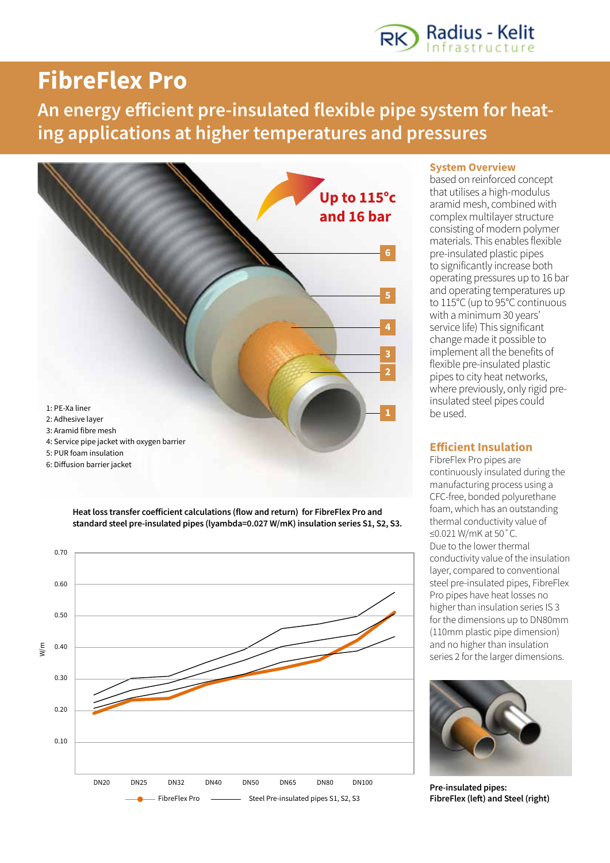

# **FibreFlex Pro**

**An energy efficient pre-insulated flexible pipe system for heating applications at higher temperatures and pressures**



**Heat loss transfer coefficient calculations (flow and return) for FibreFlex Pro and standard steel pre-insulated pipes (lyambda=0.027 W/mK) insulation series S1, S2, S3.**



### **System Overview**

based on reinforced concept that utilises a high-modulus aramid mesh, combined with complex multilayer structure consisting of modern polymer materials. This enables flexible pre-insulated plastic pipes to significantly increase both operating pressures up to 16 bar and operating temperatures up to 115°C (up to 95°C continuous with a minimum 30 years' service life) This significant change made it possible to implement all the benefits of flexible pre-insulated plastic pipes to city heat networks, where previously, only rigid preinsulated steel pipes could

# **Efficient Insulation**

FibreFlex Pro pipes are continuously insulated during the manufacturing process using a CFC-free, bonded polyurethane foam, which has an outstanding thermal conductivity value of ≤0.021 W/mK at 50˚C. Due to the lower thermal conductivity value of the insulation layer, compared to conventional steel pre-insulated pipes, FibreFlex Pro pipes have heat losses no higher than insulation series IS 3 for the dimensions up to DN80mm (110mm plastic pipe dimension) and no higher than insulation series 2 for the larger dimensions.



**Pre-insulated pipes: FibreFlex (left) and Steel (right)**